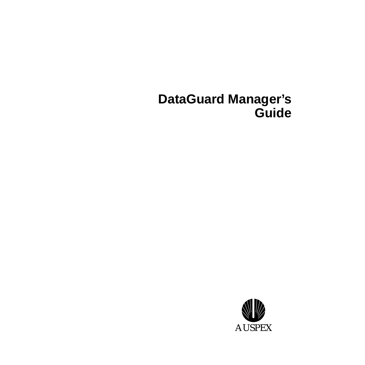# **DataGuard Manager's Guide**

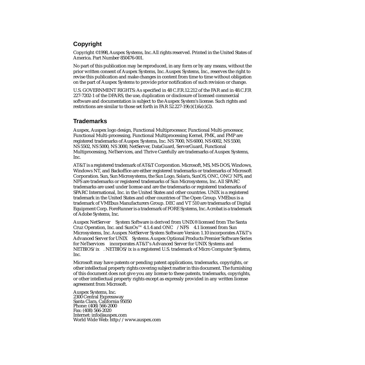#### **Copyright**

Copyright ©1998, Auspex Systems, Inc. All rights reserved. Printed in the United States of America. Part Number 850476-001.

No part of this publication may be reproduced, in any form or by any means, without the prior written consent of Auspex Systems, Inc. Auspex Systems, Inc., reserves the right to revise this publication and make changes in content from time to time without obligation on the part of Auspex Systems to provide prior notification of such revision or change.

U.S. GOVERNMENT RIGHTS: As specified in 48 C.F.R.12.212 of the FAR and in 48.C.F.R 227-7202-1 of the DFARS, the use, duplication or disclosure of licensed commercial software and documentation is subject to the Auspex System's license. Such rights and restrictions are similar to those set forth in FAR  $52.227-19(c)(1) \& (c)(2)$ .

#### **Trademarks**

Auspex, Auspex logo design, Functional Multiprocessor, Functional Multi-processor, Functional Multi-processing, Functional Multiprocessing Kernel, FMK, and FMP are registered trademarks of Auspex Systems, Inc. NS 7000, NS 6000, NS 6002, NS 5500, NS 5502, NS 5000, NS 3000, NetServer, DataGuard, ServerGuard, Functional Multiprocessing, NeTservices, and Thrive Carefully are trademarks of Auspex Systems, Inc.

AT&T is a registered trademark of AT&T Corporation. Microsoft, MS, MS-DOS, Windows, Windows NT, and Backoffice are either registered trademarks or trademarks of Microsoft Corporation. Sun, Sun Microsystems, the Sun Logo, Solaris, SunOS, ONC, ONC/NFS, and NFS are trademarks or registered trademarks of Sun Microsystems, Inc. All SPARC trademarks are used under license and are the trademarks or registered trademarks of SPARC International, Inc. in the United States and other countries. UNIX is a registered trademark in the United States and other countries of The Open Group. VMEbus is a trademark of VMEbus Manufacturers Group. DEC and VT 510 are trademarks of Digital Equipment Corp. ForeRunner is a trademark of FORE Systems, Inc. Acrobat is a trademark of Adobe Systems, Inc.

Auspex NetServer<sup> $M$ </sup> System Software is derived from UNIX<sup>®</sup> licensed from The Santa Cruz Operation, Inc. and SunOs<sup>TM</sup> 4.1.4 and ONC<sup>TM</sup>/NFS<sup>TM</sup> 4.1 licensed from Sun Microsystems, Inc. Auspex NetServer System Software Version 1.10 incorporates AT&T's Advanced Server for UNIX<sup>®</sup> Systems. Auspex Optional Products Premier Software Series for NeTservices™ incorporates AT&T's Advanced Server for UNIX Systems and NETBIOS/ix. NETBIOS/ix is a registered U.S. trademark of Micro Computer Systems, Inc.

Microsoft may have patents or pending patent applications, trademarks, copyrights, or other intellectual property rights covering subject matter in this document. The furnishing of this document does not give you any license to these patents, trademarks, copyrights, or other intellectual property rights except as expressly provided in any written license agreement from Microsoft.

Auspex Systems, Inc. 2300 Central Expressway Santa Clara, California 95050 Phone: (408) 566-2000 Fax: (408) 566-2020 Internet: info@auspex.com World Wide Web: http://www.auspex.com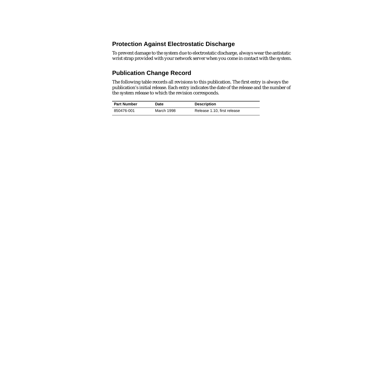#### **Protection Against Electrostatic Discharge**

To prevent damage to the system due to electrostatic discharge, always wear the antistatic wrist strap provided with your network server when you come in contact with the system.

#### **Publication Change Record**

The following table records all revisions to this publication. The first entry is always the publication's initial release. Each entry indicates the date of the release and the number of the system release to which the revision corresponds.

| <b>Part Number</b> | Date       | <b>Description</b>          |
|--------------------|------------|-----------------------------|
| 850476-001         | March 1998 | Release 1.10, first release |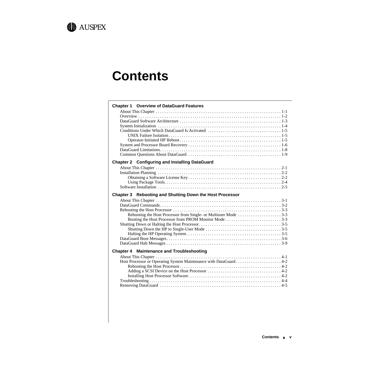

# **Contents**

| <b>Chapter 1 Overview of DataGuard Features</b>          |
|----------------------------------------------------------|
|                                                          |
|                                                          |
|                                                          |
|                                                          |
|                                                          |
|                                                          |
|                                                          |
|                                                          |
|                                                          |
| <b>Chapter 2 Configuring and Installing DataGuard</b>    |
|                                                          |
|                                                          |
|                                                          |
|                                                          |
|                                                          |
| Chapter 3 Rebooting and Shutting Down the Host Processor |
|                                                          |
|                                                          |
|                                                          |
|                                                          |
| Booting the Host Processor from PROM Monitor Mode3-3     |
|                                                          |
|                                                          |
|                                                          |
|                                                          |
|                                                          |
| <b>Chapter 4 Maintenance and Troubleshooting</b>         |
|                                                          |
|                                                          |
|                                                          |
|                                                          |
|                                                          |
|                                                          |
|                                                          |
|                                                          |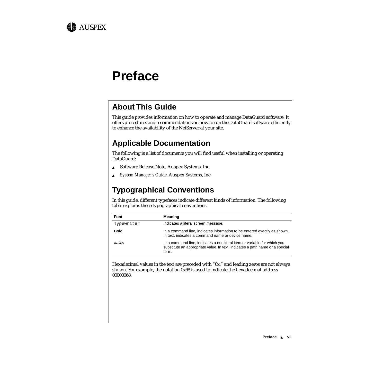

# **Preface**

# **About This Guide**

This guide provides information on how to operate and manage DataGuard software. It offers procedures and recommendations on how to run the DataGuard software efficiently to enhance the availability of the NetServer at your site.

# **Applicable Documentation**

The following is a list of documents you will find useful when installing or operating DataGuard:

- ▲ Software Release Note, Auspex Systems, Inc.
- ▲ *System Manager's Guide*, Auspex Systems, Inc.

# **Typographical Conventions**

In this guide, different typefaces indicate different kinds of information. The following table explains these typographical conventions.

| Font                  | <b>Meaning</b>                                                                                                                                                    |
|-----------------------|-------------------------------------------------------------------------------------------------------------------------------------------------------------------|
| Typewriter            | Indicates a literal screen message.                                                                                                                               |
| <b>Bold</b>           | In a command line, indicates information to be entered exactly as shown.<br>In text, indicates a command name or device name.                                     |
| <i><b>Italics</b></i> | In a command line, indicates a nonliteral item or variable for which you<br>substitute an appropriate value. In text, indicates a path name or a special<br>term. |

Hexadecimal values in the text are preceded with "0x," and leading zeros are not always shown. For example, the notation 0x68 is used to indicate the hexadecimal address 00000068.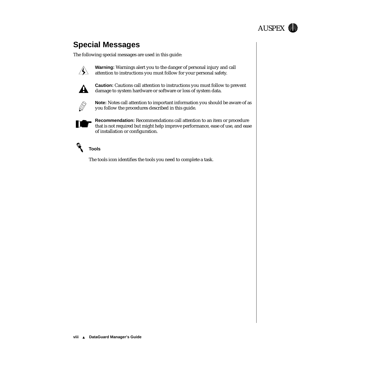

# **Special Messages**

The following special messages are used in this guide:



**Warning:** Warnings alert you to the danger of personal injury and call attention to instructions you must follow for your personal safety.



**Caution:** Cautions call attention to instructions you must follow to prevent damage to system hardware or software or loss of system data.



**Note:** Notes call attention to important information you should be aware of as you follow the procedures described in this guide.



**Recommendation:** Recommendations call attention to an item or procedure that is not required but might help improve performance, ease of use, and ease of installation or configuration.



#### **Tools**

The tools icon identifies the tools you need to complete a task.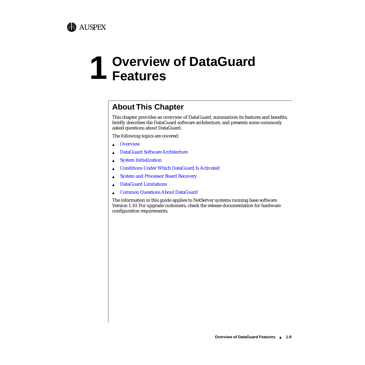

# **1 Overview of DataGuard Features**

# **About This Chapter**

This chapter provides an overview of DataGuard, summarizes its features and benefits, briefly describes the DataGuard software architecture, and presents some commonly asked questions about DataGuard.

The following topics are covered:

- ▲ [Overview](#page-9-0)
- ▲ [DataGuard Software Architecture](#page-10-0)
- ▲ [System Initialization](#page-11-0)
- ▲ [Conditions Under Which DataGuard Is Activated](#page-12-0)
- ▲ [System and Processor Board Recovery](#page-13-0)
- ▲ [DataGuard Limitations](#page-15-0)
- ▲ [Common Questions About DataGuard](#page-16-0)

The information in this guide applies to NetServer systems running base software Version 1.10. For upgrade customers, check the release documentation for hardware configuration requirements.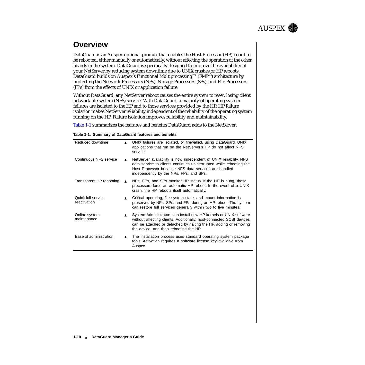

# <span id="page-9-0"></span>**Overview**

DataGuard is an Auspex optional product that enables the Host Processor (HP) board to be rebooted, either manually or automatically, without affecting the operation of the other boards in the system. DataGuard is specifically designed to improve the availability of your NetServer by reducing system downtime due to UNIX crashes or HP reboots. DataGuard builds on Auspex's Functional Multiprocessing™ (FMP®) architecture by protecting the Network Processors (NPs), Storage Processors (SPs), and File Processors (FPs) from the effects of UNIX or application failure.

Without DataGuard, any NetServer reboot causes the entire system to reset, losing client network file system (NFS) service. With DataGuard, a majority of operating system failures are isolated to the HP and to those services provided by the HP. HP failure isolation makes NetServer reliability independent of the reliability of the operating system running on the HP. Failure isolation improves reliability and maintainability.

Table 1-1 summarizes the features and benefits DataGuard adds to the NetServer.

|  |  |  |  | Table 1-1. Summary of DataGuard features and benefits |
|--|--|--|--|-------------------------------------------------------|
|--|--|--|--|-------------------------------------------------------|

| Reduced downtime                   |                  | UNIX failures are isolated, or firewalled, using DataGuard. UNIX<br>applications that run on the NetServer's HP do not affect NFS<br>service.                                                                                                            |
|------------------------------------|------------------|----------------------------------------------------------------------------------------------------------------------------------------------------------------------------------------------------------------------------------------------------------|
| Continuous NFS service             |                  | NetServer availability is now independent of UNIX reliability. NFS<br>data service to clients continues uninterrupted while rebooting the<br>Host Processor because NFS data services are handled<br>independently by the NPs, FPs, and SPs.             |
| Transparent HP rebooting           |                  | NPs, FPs, and SPs monitor HP status. If the HP is hung, these<br>processors force an automatic HP reboot. In the event of a UNIX<br>crash, the HP reboots itself automatically.                                                                          |
| Quick full-service<br>reactivation | $\blacktriangle$ | Critical operating, file system state, and mount information is<br>preserved by NPs, SPs, and FPs during an HP reboot. The system<br>can restore full services generally within two to five minutes.                                                     |
| Online system<br>maintenance       |                  | System Administrators can install new HP kernels or UNIX software<br>without affecting clients. Additionally, host-connected SCSI devices<br>can be attached or detached by halting the HP, adding or removing<br>the device, and then rebooting the HP. |
| Ease of administration             |                  | The installation process uses standard operating system package<br>tools. Activation requires a software license key available from<br>Auspex.                                                                                                           |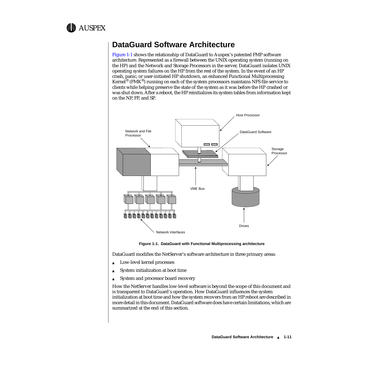<span id="page-10-0"></span>

## **DataGuard Software Architecture**

Figure 1-1 shows the relationship of DataGuard to Auspex's patented FMP software architecture. Represented as a firewall between the UNIX operating system (running on the HP) and the Network and Storage Processors in the server, DataGuard isolates UNIX operating system failures on the HP from the rest of the system. In the event of an HP crash, panic, or user-initiated HP shutdown, an enhanced Functional Multiprocessing Kernel<sup>®</sup> (FMK<sup>®</sup>) running on each of the system processors maintains NFS file service to clients while helping preserve the state of the system as it was before the HP crashed or was shut down. After a reboot, the HP reinitializes its system tables from information kept on the NP, FP, and SP.



**Figure 1-1. DataGuard with Functional Multiprocessing architecture** 

DataGuard modifies the NetServer's software architecture in three primary areas:

- Low-level kernel processes
- ▲ System initialization at boot time
- ▲ System and processor board recovery

How the NetServer handles low-level software is beyond the scope of this document and is transparent to DataGuard's operation. How DataGuard influences the system initialization at boot time and how the system recovers from an HP reboot are described in more detail in this document. DataGuard software does have certain limitations, which are summarized at the end of this section.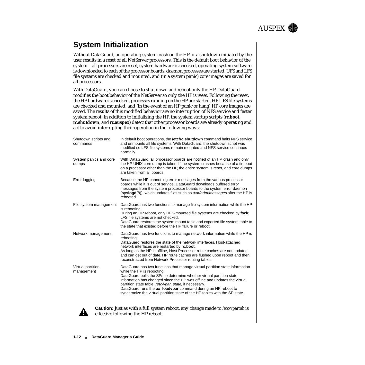

# <span id="page-11-0"></span>**System Initialization**

Without DataGuard, an operating system crash on the HP or a shutdown initiated by the user results in a reset of all NetServer processors. This is the default boot behavior of the system—all processors are reset, system hardware is checked, operating system software is downloaded to each of the processor boards, daemon processes are started, UFS and LFS file systems are checked and mounted, and (in a system panic) core images are saved for all processors.

With DataGuard, you can choose to shut down and reboot only the HP. DataGuard modifies the boot behavior of the NetServer so only the HP is reset. Following the reset, the HP hardware is checked, processes running on the HP are started, HP UFS file systems are checked and mounted, and (in the event of an HP panic or hang) HP core images are saved. The results of this modified behavior are no interruption of NFS service and faster system reboot. In addition to initializing the HP, the system startup scripts (**rc.boot**, **rc.shutdown**, and **rc.auspex**) detect that other processor boards are already operating and act to avoid interrupting their operation in the following ways:

| Shutdown scripts and<br>commands | In default boot operations, the <b>/etc/rc.shutdown</b> command halts NFS service<br>and unmounts all file systems. With DataGuard, the shutdown script was<br>modified so LFS file systems remain mounted and NFS service continues<br>normally.                                                                                                                                                                                                                      |
|----------------------------------|------------------------------------------------------------------------------------------------------------------------------------------------------------------------------------------------------------------------------------------------------------------------------------------------------------------------------------------------------------------------------------------------------------------------------------------------------------------------|
| System panics and core<br>dumps  | With DataGuard, all processor boards are notified of an HP crash and only<br>the HP UNIX core dump is taken. If the system crashes because of a timeout<br>on a processor other than the HP, the entire system is reset, and core dumps<br>are taken from all boards.                                                                                                                                                                                                  |
| Error logging                    | Because the HP cannot log error messages from the various processor<br>boards while it is out of service, DataGuard downloads buffered error<br>messages from the system processor boards to the system error daemon<br>(syslogd(8)), which updates files such as /var/adm/messages after the HP is<br>rebooted.                                                                                                                                                       |
| File system management           | DataGuard has two functions to manage file system information while the HP<br>is rebooting:<br>During an HP reboot, only UFS-mounted file systems are checked by fsck;<br>LFS file systems are not checked.<br>DataGuard restores the system mount table and exported file system table to<br>the state that existed before the HP failure or reboot.                                                                                                                  |
| Network management               | DataGuard has two functions to manage network information while the HP is<br>rebooting:<br>DataGuard restores the state of the network interfaces. Host-attached<br>network interfaces are restarted by rc.boot.<br>As long as the HP is offline, Host Processor route caches are not updated<br>and can get out of date. HP route caches are flushed upon reboot and then<br>reconstructed from Network Processor routing tables.                                     |
| Virtual partition<br>management  | DataGuard has two functions that manage virtual partition state information<br>while the HP is rebooting:<br>DataGuard polls the SPs to determine whether virtual partition state<br>information has changed since the HP was offline and updates the virtual<br>partition state table, /etc/vpar_state, if necessary.<br>DataGuard runs the ax_loadvpar command during an HP reboot to<br>synchronize the virtual partition state of the HP tables with the SP state. |



**Caution:** Just as with a full system reboot, any change made to */etc/vpartab* is effective following the HP reboot.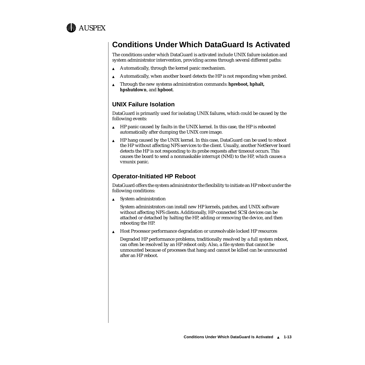<span id="page-12-0"></span>

# **Conditions Under Which DataGuard Is Activated**

The conditions under which DataGuard is activated include UNIX failure isolation and system administrator intervention, providing access through several different paths:

- Automatically, through the kernel panic mechanism.
- ▲ Automatically, when another board detects the HP is not responding when probed.
- ▲ Through the new systems administration commands: **hpreboot, hphalt, hpshutdown**, and **hpboot**.

#### **UNIX Failure Isolation**

DataGuard is primarily used for isolating UNIX failures, which could be caused by the following events:

- ▲ HP panic caused by faults in the UNIX kernel. In this case, the HP is rebooted automatically after dumping the UNIX core image.
- ▲ HP hang caused by the UNIX kernel. In this case, DataGuard can be used to reboot the HP without affecting NFS services to the client. Usually, another NetServer board detects the HP is not responding to its probe requests after timeout occurs. This causes the board to send a nonmaskable interrupt (NMI) to the HP, which causes a vmunix panic.

#### **Operator-Initiated HP Reboot**

DataGuard offers the system administrator the flexibility to initiate an HP reboot under the following conditions:

▲ System administration

System administrators can install new HP kernels, patches, and UNIX software without affecting NFS clients. Additionally, HP-connected SCSI devices can be attached or detached by halting the HP, adding or removing the device, and then rebooting the HP.

▲ Host Processor performance degradation or unresolvable locked HP resources

Degraded HP performance problems, traditionally resolved by a full system reboot, can often be resolved by an HP reboot only. Also, a file system that cannot be unmounted because of processes that hang and cannot be killed can be unmounted after an HP reboot.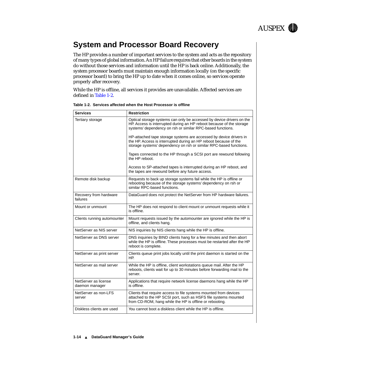

# <span id="page-13-0"></span>**System and Processor Board Recovery**

The HP provides a number of important services to the system and acts as the repository of many types of global information. An HP failure requires that other boards in the system do without those services and information until the HP is back online. Additionally, the system processor boards must maintain enough information locally (on the specific processor board) to bring the HP up to date when it comes online, so services operate properly after recovery.

While the HP is offline, all services it provides are unavailable. Affected services are defined in Table 1-2.

| <b>Services</b>                        | <b>Restriction</b>                                                                                                                                                                                           |
|----------------------------------------|--------------------------------------------------------------------------------------------------------------------------------------------------------------------------------------------------------------|
| Tertiary storage                       | Optical storage systems can only be accessed by device drivers on the<br>HP. Access is interrupted during an HP reboot because of the storage<br>systems' dependency on rsh or similar RPC-based functions.  |
|                                        | HP-attached tape storage systems are accessed by device drivers in<br>the HP. Access is interrupted during an HP reboot because of the<br>storage systems' dependency on rsh or similar RPC-based functions. |
|                                        | Tapes connected to the HP through a SCSI port are rewound following<br>the HP reboot.                                                                                                                        |
|                                        | Access to SP-attached tapes is interrupted during an HP reboot, and<br>the tapes are rewound before any future access.                                                                                       |
| Remote disk backup                     | Requests to back up storage systems fail while the HP is offline or<br>rebooting because of the storage systems' dependency on rsh or<br>similar RPC-based functions.                                        |
| Recovery from hardware<br>failures     | DataGuard does not protect the NetServer from HP hardware failures.                                                                                                                                          |
| Mount or unmount                       | The HP does not respond to client mount or unmount requests while it<br>is offline.                                                                                                                          |
| Clients running automounter            | Mount requests issued by the automounter are ignored while the HP is<br>offline, and clients hang.                                                                                                           |
| NetServer as NIS server                | NIS inquiries by NIS clients hang while the HP is offline.                                                                                                                                                   |
| NetServer as DNS server                | DNS inquiries by BIND clients hang for a few minutes and then abort<br>while the HP is offline. These processes must be restarted after the HP<br>reboot is complete.                                        |
| NetServer as print server              | Clients queue print jobs locally until the print daemon is started on the<br>HP.                                                                                                                             |
| NetServer as mail server               | While the HP is offline, client workstations queue mail. After the HP<br>reboots, clients wait for up to 30 minutes before forwarding mail to the<br>server.                                                 |
| NetServer as license<br>daemon manager | Applications that require network license daemons hang while the HP<br>is offline.                                                                                                                           |
| NetServer as non-LFS<br>server         | Clients that require access to file systems mounted from devices<br>attached to the HP SCSI port, such as HSFS file systems mounted<br>from CD-ROM, hang while the HP is offline or rebooting.               |
| Diskless clients are used              | You cannot boot a diskless client while the HP is offline.                                                                                                                                                   |

|  |  | Table 1-2.  Services affected when the Host Processor is offline |  |
|--|--|------------------------------------------------------------------|--|
|  |  |                                                                  |  |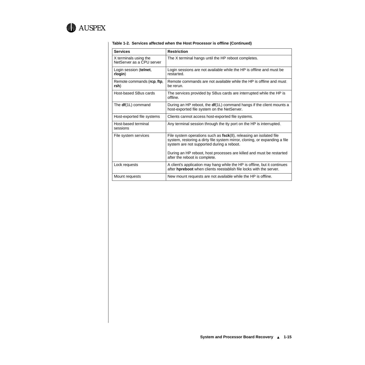

| <b>Services</b>                                    | <b>Restriction</b>                                                                                                                                                                               |
|----------------------------------------------------|--------------------------------------------------------------------------------------------------------------------------------------------------------------------------------------------------|
| X terminals using the<br>NetServer as a CPU server | The X terminal hangs until the HP reboot completes.                                                                                                                                              |
| Login session (telnet,<br>rlogin)                  | Login sessions are not available while the HP is offline and must be<br>restarted.                                                                                                               |
| Remote commands (rcp, ftp,<br>rsh)                 | Remote commands are not available while the HP is offline and must<br>be rerun.                                                                                                                  |
| Host-based SBus cards                              | The services provided by SBus cards are interrupted while the HP is<br>offline.                                                                                                                  |
| The $df(1L)$ command                               | During an HP reboot, the <b>df</b> (1L) command hangs if the client mounts a<br>host-exported file system on the NetServer.                                                                      |
| Host-exported file systems                         | Clients cannot access host-exported file systems.                                                                                                                                                |
| Host-based terminal<br>sessions                    | Any terminal session through the tty port on the HP is interrupted.                                                                                                                              |
| File system services                               | File system operations such as $fsck(8)$ , releasing an isolated file<br>system, restoring a dirty file system mirror, cloning, or expanding a file<br>system are not supported during a reboot. |
|                                                    | During an HP reboot, host processes are killed and must be restarted<br>after the reboot is complete.                                                                                            |
| Lock requests                                      | A client's application may hang while the HP is offline, but it continues<br>after hpreboot when clients reestablish file locks with the server.                                                 |
| Mount requests                                     | New mount requests are not available while the HP is offline.                                                                                                                                    |

#### **Table 1-2. Services affected when the Host Processor is offline (Continued)**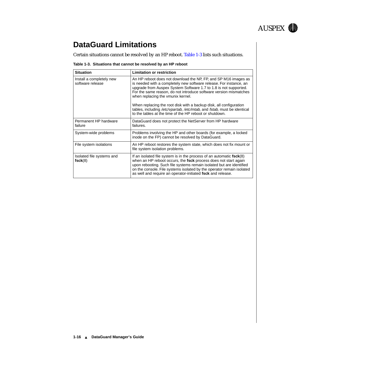

# <span id="page-15-0"></span>**DataGuard Limitations**

Certain situations cannot be resolved by an HP reboot. Table 1-3 lists such situations.

#### **Table 1-3. Situations that cannot be resolved by an HP reboot**

| <b>Situation</b>                             | <b>Limitation or restriction</b>                                                                                                                                                                                                                                                                                                                          |
|----------------------------------------------|-----------------------------------------------------------------------------------------------------------------------------------------------------------------------------------------------------------------------------------------------------------------------------------------------------------------------------------------------------------|
| Install a completely new<br>software release | An HP reboot does not download the NP, FP, and SP M16 images as<br>is needed with a completely new software release. For instance, an<br>upgrade from Auspex System Software 1.7 to 1.8 is not supported.<br>For the same reason, do not introduce software version mismatches<br>when replacing the vmunix kernel.                                       |
|                                              | When replacing the root disk with a backup disk, all configuration<br>tables, including /etc/vpartab, /etc/mtab, and fstab, must be identical<br>to the tables at the time of the HP reboot or shutdown.                                                                                                                                                  |
| Permanent HP hardware<br>failure             | DataGuard does not protect the NetServer from HP hardware<br>failures.                                                                                                                                                                                                                                                                                    |
| System-wide problems                         | Problems involving the HP and other boards (for example, a locked<br>inode on the FP) cannot be resolved by DataGuard.                                                                                                                                                                                                                                    |
| File system isolations                       | An HP reboot restores the system state, which does not fix mount or<br>file system isolation problems.                                                                                                                                                                                                                                                    |
| Isolated file systems and<br>$fsck(8)$       | If an isolated file system is in the process of an automatic $fsck(8)$<br>when an HP reboot occurs, the fsck process does not start again<br>upon rebooting. Such file systems remain isolated but are identified<br>on the console. File systems isolated by the operator remain isolated<br>as well and require an operator-initiated fsck and release. |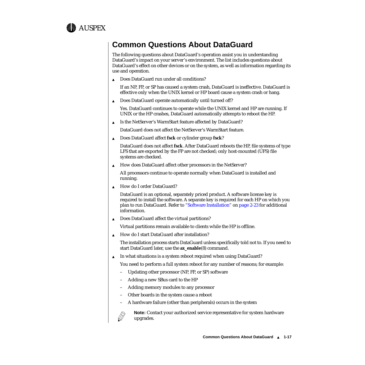<span id="page-16-0"></span>

# **Common Questions About DataGuard**

The following questions about DataGuard's operation assist you in understanding DataGuard's impact on your server's environment. The list includes questions about DataGuard's effect on other devices or on the system, as well as information regarding its use and operation.

▲ Does DataGuard run under all conditions?

If an NP, FP, or SP has caused a system crash, DataGuard is ineffective. DataGuard is effective only when the UNIX kernel or HP board cause a system crash or hang.

▲ Does DataGuard operate automatically until turned off?

Yes. DataGuard continues to operate while the UNIX kernel and HP are running. If UNIX or the HP crashes, DataGuard automatically attempts to reboot the HP.

▲ Is the NetServer's WarmStart feature affected by DataGuard?

DataGuard does not affect the NetServer's WarmStart feature.

▲ Does DataGuard affect **fsck** or cylinder group **fsck**?

DataGuard does not affect **fsck**. After DataGuard reboots the HP, file systems of type LFS that are exported by the FP are not checked; only host-mounted (UFS) file systems are checked.

▲ How does DataGuard affect other processors in the NetServer?

All processors continue to operate normally when DataGuard is installed and running.

▲ How do I order DataGuard?

DataGuard is an optional, separately priced product. A software license key is required to install the software. A separate key is required for each HP on which you plan to run DataGuard. Refer to ["Software Installation"](#page-22-0) on [page 2-23](#page-22-0) for additional information.

▲ Does DataGuard affect the virtual partitions?

Virtual partitions remain available to clients while the HP is offline.

▲ How do I start DataGuard after installation?

The installation process starts DataGuard unless specifically told not to. If you need to start DataGuard later, use the **ax\_enable**(8) command.

▲ In what situations is a system reboot required when using DataGuard?

You need to perform a full system reboot for any number of reasons; for example:

- Updating other processor (NP, FP, or SP) software
- Adding a new SBus card to the HP
- Adding memory modules to any processor
- Other boards in the system cause a reboot
- A hardware failure (other than peripherals) occurs in the system



**Note:** Contact your authorized service representative for system hardware upgrades.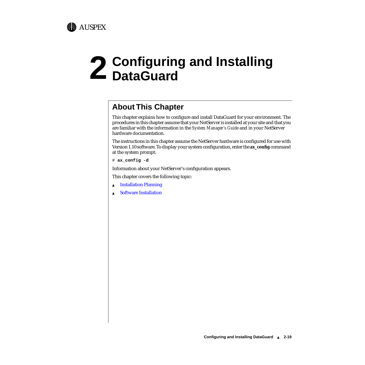

# **About This Chapter**

This chapter explains how to configure and install DataGuard for your environment. The procedures in this chapter assume that your NetServer is installed at your site and that you are familiar with the information in the *System Manager's Guide* and in your NetServer hardware documentation.

The instructions in this chapter assume the NetServer hardware is configured for use with Version 1.10 software. To display your system configuration, enter the **ax\_config** command at the system prompt:

# **ax\_config -d**

AUSPEX

Information about your NetServer's configuration appears.

This chapter covers the following topic:

- ▲ [Installation Planning](#page-19-0)
- ▲ [Software Installation](#page-22-0)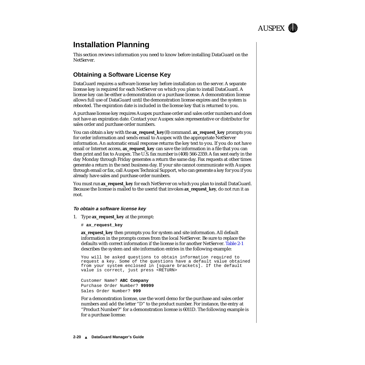

# <span id="page-19-0"></span>**Installation Planning**

This section reviews information you need to know before installing DataGuard on the NetServer.

#### **Obtaining a Software License Key**

DataGuard requires a software license key before installation on the server. A separate license key is required for each NetServer on which you plan to install DataGuard. A license key can be either a demonstration or a purchase license. A demonstration license allows full use of DataGuard until the demonstration license expires and the system is rebooted. The expiration date is included in the license key that is returned to you.

A purchase license key requires Auspex purchase order and sales order numbers and does not have an expiration date. Contact your Auspex sales representative or distributor for sales order and purchase order numbers.

You can obtain a key with the **ax\_request\_key**(8) command. **ax\_request\_key** prompts you for order information and sends email to Auspex with the appropriate NetServer information. An automatic email response returns the key text to you. If you do not have email or Internet access, **ax\_request\_key** can save the information in a file that you can then print and fax to Auspex. The U.S. fax number is (408) 566-2359. A fax sent early in the day Monday through Friday generates a return the same day. Fax requests at other times generate a return in the next business day. If your site cannot communicate with Auspex through email or fax, call Auspex Technical Support, who can generate a key for you if you already have sales and purchase order numbers.

You must run **ax\_request\_key** for each NetServer on which you plan to install DataGuard. Because the license is mailed to the userid that invokes **ax\_request\_key**, do not run it as root.

#### **To obtain a software license key**

- 1. Type **ax\_request\_key** at the prompt:
	- # **ax\_request\_key**

**ax\_request\_key** then prompts you for system and site information. All default information in the prompts comes from the local NetServer. Be sure to replace the defaults with correct information if the license is for another NetServer. [Table 2-1](#page-20-0) describes the system and site information entries in the following example:

You will be asked questions to obtain information required to request a key. Some of the questions have a default value obtained from your system enclosed in [square brackets]. If the default value is correct, just press <RETURN>

Customer Name? **ABC Company** Purchase Order Number? **99999** Sales Order Number? **999**

For a demonstration license, use the word demo for the purchase and sales order numbers and add the letter "D" to the product number. For instance, the entry at "Product Number?" for a demonstration license is 6011D. The following example is for a purchase license: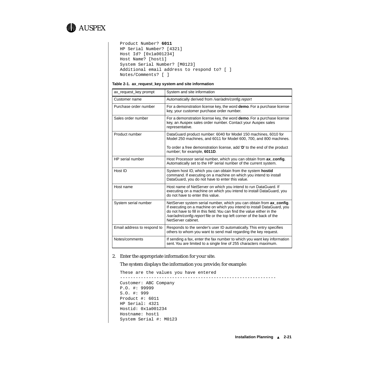<span id="page-20-0"></span>

```
Product Number? 6011
HP Serial Number? [4321] 
Host Id? [0x1a001234] 
Host Name? [host1] 
System Serial Number? [M0123] 
Additional email address to respond to? [ ]
Notes/Comments? [ ]
```
#### **Table 2-1. ax\_request\_key system and site information**

| ax request key prompt       | System and site information                                                                                                                                                                                                                                                                                               |
|-----------------------------|---------------------------------------------------------------------------------------------------------------------------------------------------------------------------------------------------------------------------------------------------------------------------------------------------------------------------|
| Customer name               | Automatically derived from /var/adm/config.report                                                                                                                                                                                                                                                                         |
| Purchase order number       | For a demonstration license key, the word demo. For a purchase license<br>key, your customer purchase order number.                                                                                                                                                                                                       |
| Sales order number          | For a demonstration license key, the word demo. For a purchase license<br>key, an Auspex sales order number. Contact your Auspex sales<br>representative.                                                                                                                                                                 |
| Product number              | DataGuard product number: 6040 for Model 150 machines, 6010 for<br>Model 250 machines, and 6011 for Model 600, 700, and 800 machines.                                                                                                                                                                                     |
|                             | To order a free demonstration license, add 'D' to the end of the product<br>number; for example, 6011D.                                                                                                                                                                                                                   |
| HP serial number            | Host Processor serial number, which you can obtain from ax_config.<br>Automatically set to the HP serial number of the current system.                                                                                                                                                                                    |
| Host ID                     | System host ID, which you can obtain from the system hostid<br>command. If executing on a machine on which you intend to install<br>DataGuard, you do not have to enter this value.                                                                                                                                       |
| Host name                   | Host name of NetServer on which you intend to run DataGuard. If<br>executing on a machine on which you intend to install DataGuard, you<br>do not have to enter this value.                                                                                                                                               |
| System serial number        | NetServer system serial number, which you can obtain from ax_config.<br>If executing on a machine on which you intend to install DataGuard, you<br>do not have to fill in this field. You can find the value either in the<br>/var/adm/config.report file or the top left corner of the back of the<br>NetServer cabinet. |
| Email address to respond to | Responds to the sender's user ID automatically. This entry specifies<br>others to whom you want to send mail regarding the key request.                                                                                                                                                                                   |
| Notes/comments              | If sending a fax, enter the fax number to which you want key information<br>sent. You are limited to a single line of 255 characters maximum.                                                                                                                                                                             |

#### 2. Enter the appropriate information for your site.

The system displays the information you provide; for example:

```
These are the values you have entered
------------------------------------------------------------
Customer: ABC Company
P.O. #: 99999
S.O. #: 999
Product #: 6011
HP Serial: 4321
Hostid: 0x1a001234
Hostname: host1
System Serial #: M0123
```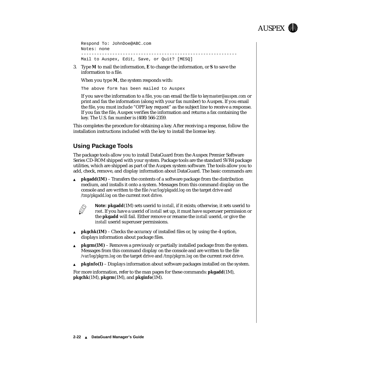

```
Respond To: JohnDoe@ABC.com
Notes: none
------------------------------------------------------------
Mail to Auspex, Edit, Save, or Quit? [MESQ]
```
3. Type **M** to mail the information, **E** to change the information, or **S** to save the information to a file.

When you type **M**, the system responds with:

The above form has been mailed to Auspex

If you save the information to a file, you can email the file to *keymaster@auspex.com* or print and fax the information (along with your fax number) to Auspex. If you email the file, you must include "OPF key request" as the subject line to receive a response. If you fax the file, Auspex verifies the information and returns a fax containing the key. The U.S. fax number is (408) 566-2359.

This completes the procedure for obtaining a key. After receiving a response, follow the installation instructions included with the key to install the license key.

#### **Using Package Tools**

The package tools allow you to install DataGuard from the Auspex Premier Software Series CD-ROM shipped with your system. Package tools are the standard SVR4 package utilities, which are shipped as part of the Auspex system software. The tools allow you to add, check, remove, and display information about DataGuard. The basic commands are:

**pkgadd(1M)** – Transfers the contents of a software package from the distribution medium, and installs it onto a system. Messages from this command display on the console and are written to the file */var/log/pkgadd.log* on the target drive and */tmp/pkgadd.log* on the current root drive.



**Note: pkgadd**(1M) sets userid to *install*, if it exists; otherwise, it sets userid to *root*. If you have a userid of *install* set up, it must have superuser permission or the **pkgadd** will fail. Either remove or rename the *install* userid, or give the *install* userid superuser permissions.

- ▲ **pkgchk(1M)** Checks the accuracy of installed files or, by using the **-l** option, displays information about package files.
- ▲ **pkgrm(1M)** Removes a previously or partially installed package from the system. Messages from this command display on the console and are written to the file */var/log/pkgrm.log* on the target drive and */tmp/pkgrm.log* on the current root drive.
- ▲ **pkginfo(1)** Displays information about software packages installed on the system.

For more information, refer to the man pages for these commands: **pkgadd**(1M), **pkgchk**(1M), **pkgrm**(1M), and **pkginfo**(1M).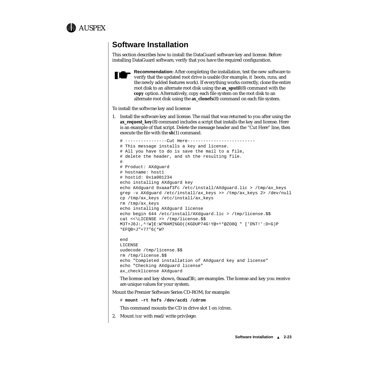<span id="page-22-0"></span>

# **Software Installation**

This section describes how to install the DataGuard software key and license. Before installing DataGuard software, verify that you have the required configuration.



**Recommendation:** After completing the installation, test the new software to verify that the updated root drive is usable (for example, it boots, runs, and the newly added features work). If everything works correctly, clone the entire root disk to an alternate root disk using the **ax\_sputil**(8) command with the **copy** option. Alternatively, copy each file system on the root disk to an alternate root disk using the **ax\_clonefs**(8) command on each file system.

To install the softwrae key and licsense

1. Install the software key and license. The mail that was returned to you after using the **ax\_request\_key**(8) command includes a script that installs the key and license. Here is an example of that script. Delete the message header and the "Cut Here" line, then execute the file with the **sh**(1) command.

```
# ----------------Cut Here--------------------------
# This message installs a key and license.
# All you have to do is save the mail to a file,
# delete the header, and sh the resulting file.
#
# Product: AXdguard
# hostname: host1
# hostid: 0x1a001234
echo installing AXdguard key
echo AXdguard 0xaaaf3fc /etc/install/AXdguard.lic > /tmp/ax_keys
grep -v AXdguard /etc/install/ax_keys >> /tmp/ax_keys 2> /dev/null
cp /tmp/ax_keys /etc/install/ax_keys
rm /tmp/ax_keys
echo installing AXdguard license
echo begin 644 /etc/install/AXdguard.lic > /tmp/license.$$
cat <<\LICENSE >> /tmp/license.$$
M3T+J8J:,^!W]E:W?RAMI%GO((KGDUP74G!Y@+^*@ZO8Q " ['D%T!':D<G)P
*EFQB=J"+77"6(*W?
end
```

```
LICENSE
uudecode /tmp/license.$$
rm /tmp/license.$$
echo "Completed installation of AXdguard key and license"
echo "Checking AXdguard license"
ax_checklicense AXdguard
```
The license and key shown, 0xaaaf3fc, are examples. The license and key you receive are unique values for your system.

Mount the Premier Software Series CD-ROM; for example:

# **mount -rt hsfs /dev/acd1 /cdrom**

This command mounts the CD in drive slot 1 on */cdrom*.

2. Mount */usr* with read/write privilege: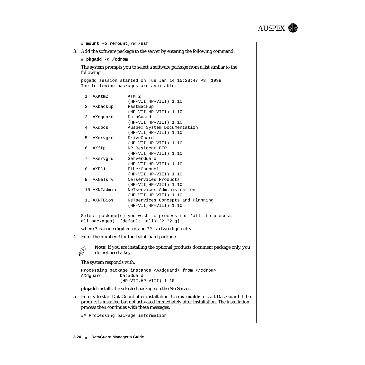

# **mount -o remount,rw /usr**

3. Add the software package to the server by entering the following command:

# **pkgadd -d /cdrom**

The system prompts you to select a software package from a list similar to the following.

pkgadd session started on Tue Jan 14 15:28:47 PST 1998 The following packages are available:

| $\mathbf{1}$  | AXatm2       | ATM <sub>2</sub>                  |
|---------------|--------------|-----------------------------------|
|               |              | (HP-VII, HP-VIII) 1.10            |
| $\mathcal{L}$ | AXbackup     | FastBackup                        |
|               |              | (HP-VII, HP-VIII) 1.10            |
| 3             | AXdquard     | DataGuard                         |
|               |              | (HP-VII, HP-VIII) 1.10            |
| 4             | AXdocs       | Auspex System Documentation       |
|               |              | (HP-VII, HP-VIII) 1.10            |
| 5             | AXdrvgrd     | DriveGuard                        |
|               |              | (HP-VII, HP-VIII) 1.10            |
| 6             | AXftp        | NP Resident FTP                   |
|               |              | (HP-VII, HP-VIII) 1.10            |
| 7             | AXsrvqrd     | ServerGuard                       |
|               |              | (HP-VII, HP-VIII) 1.10            |
| 8             | AXEC1        | EtherChannel                      |
|               |              | (HP-VII, HP-VIII) 1.10            |
| 9             | AXNeTsrv     | NeTservices Products              |
|               |              | (HP-VII, HP-VIII) 1.10            |
|               | 10 AXNTadmin | NeTservices Administration        |
|               |              | (HP-VII, HP-VIII) 1.10            |
|               | 11 AXNTBios  | NeTservices Concepts and Planning |
|               |              | (HP-VII, HP-VIII) 1.10            |
|               |              |                                   |

Select package(s) you wish to process (or 'all' to process all packages). (default: all) [?,??,q]:

where ? is a one-digit entry, and ?? is a two-digit entry.

4. Enter the number 3 for the DataGuard package.



**Note:** If you are installing the optional products document package only, you do not need a key.

The system responds with:

```
Processing package instance <AXdguard> from </cdrom>
AXdguard DataGuard
              (HP-VII,HP-VIII) 1.10
```
**pkgadd** installs the selected package on the NetServer.

5. Enter **y** to start DataGuard after installation. Use **ax\_enable** to start DataGuard if the product is installed but not activated immediately after installation. The installation process then continues with these messages:

## Processing package information.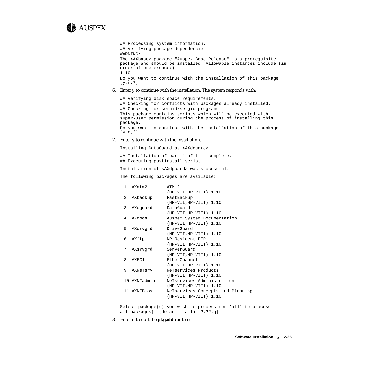# AUSPEX

```
## Processing system information.
   ## Verifying package dependencies.
   WARNING:
   The <AXbase> package "Auspex Base Release" is a prerequisite 
   package and should be installed. Allowable instances include (in 
   order of preference:) 
   1.10
   Do you want to continue with the installation of this package 
   [y,n,?]
6. Enter y to continue with the installation. The system responds with:
   ## Verifying disk space requirements.
   ## Checking for conflicts with packages already installed.
   ## Checking for setuid/setgid programs.
   This package contains scripts which will be executed with 
   super-user permission during the process of installing this 
   package.
   Do you want to continue with the installation of this package 
   [y,n,?] 
7. Enter y to continue with the installation.
   Installing DataGuard as <AXdguard>
   ## Installation of part 1 of 1 is complete.
   ## Executing postinstall script.
   Installation of <AXdguard> was successful. 
   The following packages are available:
    1 AXatm2 ATM 2
                     (HP-VII,HP-VIII) 1.10
    2 AXbackup FastBackup
                     (HP-VII,HP-VIII) 1.10
    3 AXdguard DataGuard
                     (HP-VII,HP-VIII) 1.10
    4 AXdocs Auspex System Documentation
                     (HP-VII,HP-VIII) 1.10
    5 AXdrvgrd DriveGuard
                     (HP-VII,HP-VIII) 1.10
    6 AXftp NP Resident FTP
                     (HP-VII,HP-VIII) 1.10
    7 AXsrvgrd ServerGuard
                     (HP-VII,HP-VIII) 1.10
    8 AXEC1 EtherChannel
                     (HP-VII,HP-VIII) 1.10
    9 AXNeTsrv NeTservices Products
                     (HP-VII,HP-VIII) 1.10
    10 AXNTadmin NeTservices Administration
                     (HP-VII,HP-VIII) 1.10
    11 AXNTBios NeTservices Concepts and Planning
                     (HP-VII,HP-VIII) 1.10
   Select package(s) you wish to process (or 'all' to process
   all packages). (default: all) [?,??,q]:
```
8. Enter **q** to quit the **pkgadd** routine.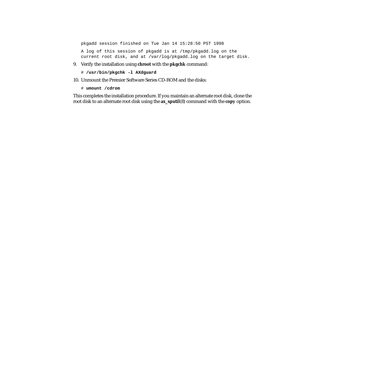pkgadd session finished on Tue Jan 14 15:28:50 PST 1998

A log of this session of pkgadd is at /tmp/pkgadd.log on the current root disk, and at /var/log/pkgadd.log on the target disk.

- 9. Verify the installation using **chroot** with the **pkgchk** command:
	- # **/usr/bin/pkgchk -l AXdguard**
- 10. Unmount the Premier Software Series CD-ROM and the disks:
	- # **umount /cdrom**

This completes the installation procedure. If you maintain an alternate root disk, clone the root disk to an alternate root disk using the **ax\_sputil**(8) command with the **copy** option.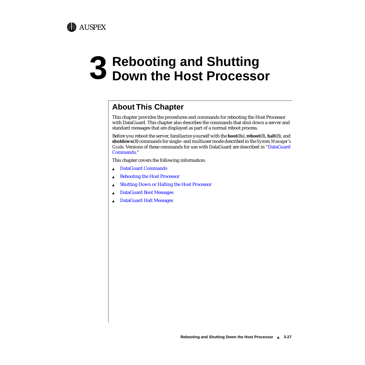

# **About This Chapter**

AUSPEX

This chapter provides the procedures and commands for rebooting the Host Processor with DataGuard. This chapter also describes the commands that shut down a server and standard messages that are displayed as part of a normal reboot process.

Before you reboot the server, familiarize yourself with the **boot**(8s), **reboot**(8), **halt**(8), and **shutdown**(8) commands for single- and multiuser mode described in the *System Manager's Guide*. Versions of these commands for use with DataGuard are described in ["DataGuard](#page-27-0)  [Commands.](#page-27-0)"

This chapter covers the following information:

- ▲ [DataGuard Commands](#page-27-0)
- ▲ [Rebooting the Host Processor](#page-28-0)
- ▲ [Shutting Down or Halting the Host Processor](#page-30-0)
- ▲ [DataGuard Boot Messages](#page-31-0)
- [DataGuard Halt Messages](#page-34-0)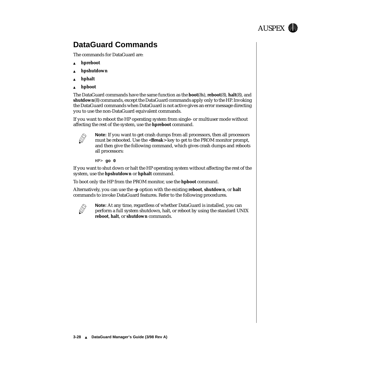

# <span id="page-27-0"></span>**DataGuard Commands**

The commands for DataGuard are:

- hpreboot
- hpshutdown
- hphalt
- ▲ **hpboot**

The DataGuard commands have the same function as the **boot**(8s), **reboot**(8), **halt**(8), and **shutdown**(8) commands, except the DataGuard commands apply only to the HP. Invoking the DataGuard commands when DataGuard is not active gives an error message directing you to use the non-DataGuard equivalent commands.

If you want to reboot the HP operating system from single- or multiuser mode without affecting the rest of the system, use the **hpreboot** command.



**Note:** If you want to get crash dumps from all processors, then all processors must be rebooted. Use the <**Break**> key to get to the PROM monitor prompt, and then give the following command, which gives crash dumps and reboots all processors:

HP> **go 0**

If you want to shut down or halt the HP operating system without affecting the rest of the system, use the **hpshutdown** or **hphalt** command.

To boot only the HP from the PROM monitor, use the **hpboot** command.

Alternatively, you can use the **-p** option with the existing **reboot**, **shutdown**, or **halt** commands to invoke DataGuard features. Refer to the following procedures.



**Note:** At any time, regardless of whether DataGuard is installed, you can perform a full system shutdown, halt, or reboot by using the standard UNIX **reboot**, **halt**, or **shutdown** commands.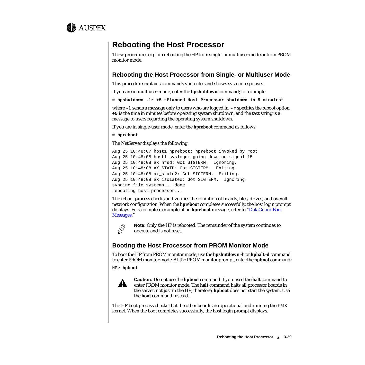<span id="page-28-0"></span>

# **Rebooting the Host Processor**

These procedures explain rebooting the HP from single- or multiuser mode or from PROM monitor mode.

#### **Rebooting the Host Processor from Single- or Multiuser Mode**

This procedure explains commands you enter and shows system responses.

If you are in multiuser mode, enter the **hpshutdown** command; for example:

# **hpshutdown -lr +5 "Planned Host Processor shutdown in 5 minutes"**

where **-l** sends a message only to users who are logged in, **-r** specifies the reboot option, **+5** is the time in minutes before operating system shutdown, and the text string is a message to users regarding the operating system shutdown.

If you are in single-user mode, enter the **hpreboot** command as follows:

```
# hpreboot
```
The NetServer displays the following:

```
Aug 25 10:48:07 host1 hpreboot: hpreboot invoked by root
Aug 25 10:48:08 host1 syslogd: going down on signal 15
Aug 25 10:48:08 ax nfsd: Got SIGTERM. Ignoring.
Aug 25 10:48:08 AX_STATD: Got SIGTERM. Exiting.
Aug 25 10:48:08 ax_statd2: Got SIGTERM. Exiting.
Aug 25 10:48:08 ax_isolated: Got SIGTERM. Ignoring.
syncing file systems... done
rebooting host processor...
```
The reboot process checks and verifies the condition of boards, files, drives, and overall network configuration. When the **hpreboot** completes successfully, the host login prompt displays. For a complete example of an **hpreboot** message, refer to "[DataGuard Boot](#page-31-0)  [Messages](#page-31-0)."



**Note:** Only the HP is rebooted. The remainder of the system continues to operate and is not reset.

#### **Booting the Host Processor from PROM Monitor Mode**

To boot the HP from PROM monitor mode, use the **hpshutdown -h** or **hphalt -d** command to enter PROM monitor mode. At the PROM monitor prompt, enter the **hpboot** command:

HP> **hpboot**



**Caution:** Do not use the **hpboot** command if you used the **halt** command to enter PROM monitor mode. The **halt** command halts all processor boards in the server, not just in the HP; therefore, **hpboot** does not start the system. Use the **boot** command instead.

The HP boot process checks that the other boards are operational and running the FMK kernel. When the boot completes successfully, the host login prompt displays.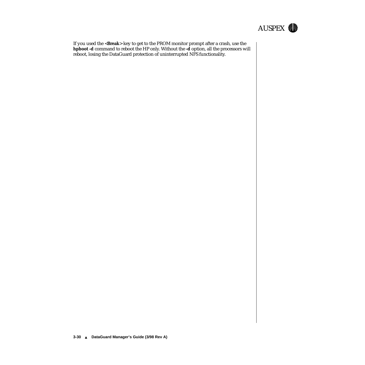

If you used the <**Break**> key to get to the PROM monitor prompt after a crash, use the **hpboot -d** command to reboot the HP only. Without the **-d** option, all the processors will reboot, losing the DataGuard protection of uninterrupted NFS functionality.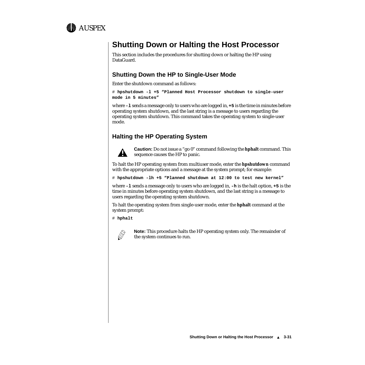<span id="page-30-0"></span>

# **Shutting Down or Halting the Host Processor**

This section includes the procedures for shutting down or halting the HP using DataGuard.

#### **Shutting Down the HP to Single-User Mode**

Enter the shutdown command as follows:

```
# hpshutdown -l +5 "Planned Host Processor shutdown to single-user 
mode in 5 minutes"
```
where **-l** sends a message only to users who are logged in, **+5** is the time in minutes before operating system shutdown, and the last string is a message to users regarding the operating system shutdown. This command takes the operating system to single-user mode.

#### **Halting the HP Operating System**



**Caution:** Do not issue a "go 0" command following the **hphalt** command. This sequence causes the HP to panic.

To halt the HP operating system from multiuser mode, enter the **hpshutdown** command with the appropriate options and a message at the system prompt; for example:

# **hpshutdown -lh +5 "Planned shutdown at 12:00 to test new kernel"** 

where **-l** sends a message only to users who are logged in, **-h** is the halt option, **+5** is the time in minutes before operating system shutdown, and the last string is a message to users regarding the operating system shutdown.

To halt the operating system from single-user mode, enter the **hphalt** command at the system prompt:

# **hphalt**



**Note:** This procedure halts the HP operating system only. The remainder of the system continues to run.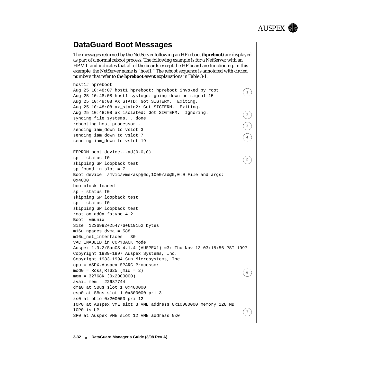

## <span id="page-31-0"></span>**DataGuard Boot Messages**

The messages returned by the NetServer following an HP reboot (**hpreboot**) are displayed as part of a normal reboot process. The following example is for a NetServer with an HP VIII and indicates that all of the boards except the HP board are functioning. In this example, the NetServer name is "host1." The reboot sequence is annotated with circled numbers that refer to the **hpreboot** event explanations in Table 3-1.

```
host1# hpreboot
Aug 25 10:48:07 host1 hpreboot: hpreboot invoked by root
Aug 25 10:48:08 host1 syslogd: going down on signal 15
Aug 25 10:48:08 AX_STATD: Got SIGTERM. Exiting.
Aug 25 10:48:08 ax statd2: Got SIGTERM. Exiting.
Aug 25 10:48:08 ax_isolated: Got SIGTERM. Ignoring.
syncing file systems... done
rebooting host processor...
sending iam_down to vslot 3
sending iam down to vslot 7
sending iam_down to vslot 19
EEPROM boot device...ad(0,0,0) 
sp - status f0 
skipping SP loopback test
sp found in slot = 7
Boot device: /mvic/vme/asp@6d,10e0/ad@0,0:0 File and args: 
0x4000
bootblock loaded
sp - status f0 
skipping SP loopback test
sp - status f0 
skipping SP loopback test
root on ad0a fstype 4.2
Boot: vmunix
Size: 1236992+254776+619152 bytes
m16u_npages_dvma = 588
m16u_net_interfaces = 30
VAC ENABLED in COPYBACK mode
Auspex 1.9.2/SunOS 4.1.4 (AUSPEX1) #3: Thu Nov 13 03:18:56 PST 1997
Copyright 1989-1997 Auspex Systems, Inc.
Copyright 1983-1994 Sun Microsystems, Inc.
cpu = ASPX,Auspex SPARC Processor
mod0 = Ross, RT625 (mid = 2)mem = 32768K (0x2000000)
avail mem = 22687744
dma0 at SBus slot 1 0x400000
esp0 at SBus slot 1 0x800000 pri 3
zs0 at obio 0x200000 pri 12
IOP0 at Auspex VME slot 3 VME address 0x10000000 memory 128 MB
IOP0 is UP
SP0 at Auspex VME slot 12 VME address 0x0
                                                                     1
                                                                     2
                                                                     3
                                                                     4
                                                                     5
                                                                     6
                                                                     7
```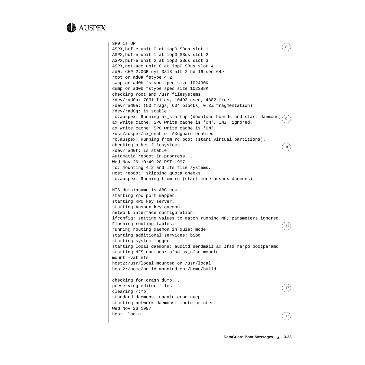

```
SP0 is UP
ASPX,buf-e unit 0 at iop0 SBus slot 1
ASPX,buf-e unit 1 at iop0 SBus slot 2
ASPX,buf-e unit 2 at iop0 SBus slot 3
ASPX,net-acc unit 0 at iop0 SBus slot 4
ad0: <HP 2.0GB cyl 3818 alt 2 hd 16 sec 64>
root on ad0a fstype 4.2
swap on ad0b fstype spec size 102400K
dump on ad0b fstype spec size 102388K
checking root and /usr filesystems
/dev/rad0a: 7031 files, 10493 used, 4882 free 
/dev/rad0a: (50 frags, 604 blocks, 0.3% fragmentation)
/dev/rad0g: is stable.
rc.auspex: Running ax_startup (download boards and start daemons).
ax_write_cache: SP0 write cache is 'ON', INIT ignored.
ax write cache: SP0 write cache is 'ON'.
/usr/auspex/ax_enable: AXdguard enabled
rc.auspex: Running from rc.boot (start virtual partitions).
checking other filesystems
/dev/rad0f: is stable.
Automatic reboot in progress...
Wed Nov 26 10:49:28 PST 1997
rc: mounting 4.2 and lfs file systems.
Host reboot: skipping quota checks.
rc.auspex: Running from rc (start more auspex daemons).
NIS domainname is ABC.com
starting rpc port mapper.
starting RPC key server.
starting Auspex key daemon.
network interface configuration:
ifconfig: setting values to match running NP; parameters ignored.
Flushing routing tables:
running routing daemon in quiet mode.
starting additional services: biod.
starting system logger
starting local daemons: auditd sendmail ax_lfsd rarpd bootparamd
starting NFS daemons: nfsd ax_nfsd mountd
mount -vat nfs
host2:/usr/local mounted on /usr/local
host2:/home/build mounted on /home/build
checking for crash dump... 
preserving editor files
clearing /tmp
standard daemons: update cron uucp.
starting network daemons: inetd printer.
Wed Nov 26 1997
host1 login: 
                                                                     8
                                                                     9
                                                                     10
                                                                     11
                                                                     12
                                                                     13
```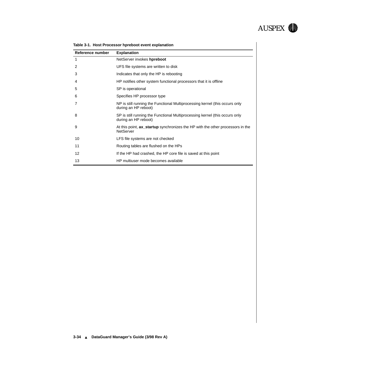

| Reference number | <b>Explanation</b>                                                                                  |
|------------------|-----------------------------------------------------------------------------------------------------|
| 1                | NetServer invokes hpreboot                                                                          |
| 2                | UFS file systems are written to disk                                                                |
| 3                | Indicates that only the HP is rebooting                                                             |
| 4                | HP notifies other system functional processors that it is offline                                   |
| 5                | SP is operational                                                                                   |
| 6                | Specifies HP processor type                                                                         |
|                  | NP is still running the Functional Multiprocessing kernel (this occurs only<br>during an HP reboot) |
| 8                | SP is still running the Functional Multiprocessing kernel (this occurs only<br>during an HP reboot) |
| 9                | At this point, ax startup synchronizes the HP with the other processors in the<br><b>NetServer</b>  |
| 10               | LFS file systems are not checked                                                                    |
| 11               | Routing tables are flushed on the HPs                                                               |
| 12               | If the HP had crashed, the HP core file is saved at this point                                      |
| 13               | HP multiuser mode becomes available                                                                 |

| Table 3-1. Host Processor hpreboot event explanation |
|------------------------------------------------------|
|------------------------------------------------------|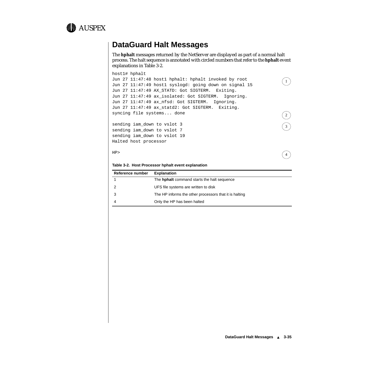<span id="page-34-0"></span>

## **DataGuard Halt Messages**

The **hphalt** messages returned by the NetServer are displayed as part of a normal halt process. The halt sequence is annotated with circled numbers that refer to the **hphalt** event explanations in Table 3-2.

```
host1# hphalt
Jun 27 11:47:48 host1 hphalt: hphalt invoked by root
Jun 27 11:47:49 host1 syslogd: going down on signal 15
Jun 27 11:47:49 AX_STATD: Got SIGTERM. Exiting.
Jun 27 11:47:49 ax_isolated: Got SIGTERM. Ignoring.
Jun 27 11:47:49 ax_nfsd: Got SIGTERM. Ignoring.
Jun 27 11:47:49 ax_statd2: Got SIGTERM. Exiting.
syncing file systems... done
sending iam_down to vslot 3
sending iam_down to vslot 7
sending iam_down to vslot 19
Halted host processor
                                                                    1
                                                                    2
                                                                    3
```
HP>

#### **Table 3-2. Host Processor hphalt event explanation**

| Reference number | <b>Explanation</b>                                     |
|------------------|--------------------------------------------------------|
|                  | The <b>hphalt</b> command starts the halt sequence     |
|                  | UFS file systems are written to disk                   |
|                  | The HP informs the other processors that it is halting |
| 4                | Only the HP has been halted                            |

4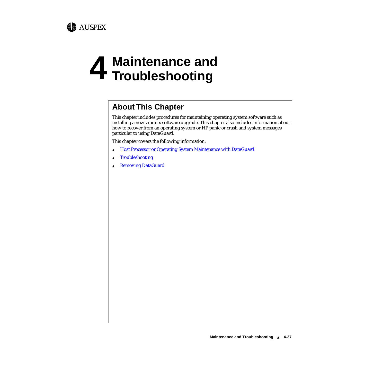

# **4 Maintenance and Troubleshooting**

# **About This Chapter**

This chapter includes procedures for maintaining operating system software such as installing a new vmunix software upgrade. This chapter also includes information about how to recover from an operating system or HP panic or crash and system messages particular to using DataGuard.

This chapter covers the following information:

- ▲ [Host Processor or Operating System Maintenance with DataGuard](#page-37-0)
- ▲ [Troubleshooting](#page-39-0)
- ▲ [Removing DataGuard](#page-40-0)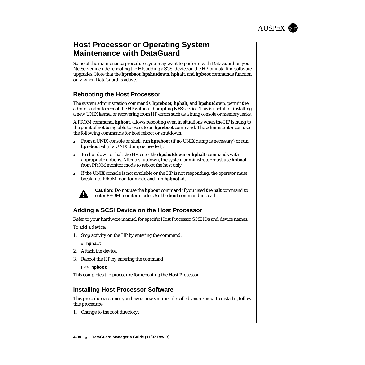

# <span id="page-37-0"></span>**Host Processor or Operating System Maintenance with DataGuard**

Some of the maintenance procedures you may want to perform with DataGuard on your NetServer include rebooting the HP, adding a SCSI device on the HP, or installing software upgrades. Note that the **hpreboot**, **hpshutdown**, **hphalt**, and **hpboot** commands function only when DataGuard is active.

#### **Rebooting the Host Processor**

The system administration commands, **hpreboot, hphalt,** and **hpshutdown**, permit the administrator to reboot the HP without disrupting NFS service. This is useful for installing a new UNIX kernel or recovering from HP errors such as a hung console or memory leaks.

A PROM command, **hpboot**, allows rebooting even in situations when the HP is hung to the point of not being able to execute an **hpreboot** command. The administrator can use the following commands for host reboot or shutdown:

- ▲ From a UNIX console or shell, run **hpreboot** (if no UNIX dump is necessary) or run **hpreboot -d** (if a UNIX dump is needed).
- ▲ To shut down or halt the HP, enter the **hpshutdown** or **hphalt** commands with appropriate options. After a shutdown, the system administrator must use **hpboot** from PROM monitor mode to reboot the host only.
- $\blacktriangle$  If the UNIX console is not available or the HP is not responding, the operator must break into PROM monitor mode and run **hpboot -d**.



**Caution:** Do not use the **hpboot** command if you used the **halt** command to enter PROM monitor mode. Use the **boot** command instead.

#### **Adding a SCSI Device on the Host Processor**

Refer to your hardware manual for specific Host Processor SCSI IDs and device names.

To add a device:

1. Stop activity on the HP by entering the command:

# **hphalt** 

- 2. Attach the device.
- 3. Reboot the HP by entering the command:

HP> **hpboot**

This completes the procedure for rebooting the Host Processor.

#### **Installing Host Processor Software**

This procedure assumes you have a new vmunix file called *vmunix.new*. To install it, follow this procedure:

1. Change to the root directory: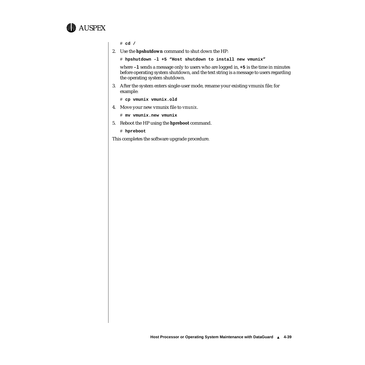

# **cd /**

2. Use the **hpshutdown** command to shut down the HP:

# **hpshutdown -l +5 "Host shutdown to install new vmunix"**

where **-l** sends a message only to users who are logged in, **+5** is the time in minutes before operating system shutdown, and the text string is a message to users regarding the operating system shutdown.

3. After the system enters single-user mode, rename your existing vmunix file; for example:

# **cp vmunix vmunix.old**

4. Move your new vmunix file to *vmunix*.

# **mv vmunix.new vmunix**

5. Reboot the HP using the **hpreboot** command.

# **hpreboot**

This completes the software upgrade procedure.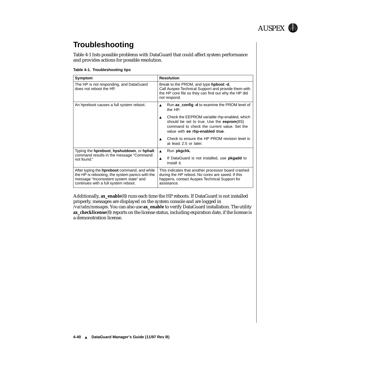

# <span id="page-39-0"></span>**Troubleshooting**

Table 4-1 lists possible problems with DataGuard that could affect system performance and provides actions for possible resolution.

| Table 4-1. Troubleshooting tips |  |
|---------------------------------|--|

| Symptom                                                                                                                                                                                   | <b>Resolution</b>                                                                                                                                                                               |
|-------------------------------------------------------------------------------------------------------------------------------------------------------------------------------------------|-------------------------------------------------------------------------------------------------------------------------------------------------------------------------------------------------|
| The HP is not responding, and DataGuard<br>does not reboot the HP.                                                                                                                        | Break to the PROM, and type <b>hpboot -d.</b><br>Call Auspex Technical Support and provide them with<br>the HP core file so they can find out why the HP did<br>not respond.                    |
| An hpreboot causes a full system reboot.                                                                                                                                                  | Run ax_config -d to examine the PROM level of<br>$\blacktriangle$<br>the HP.                                                                                                                    |
|                                                                                                                                                                                           | Check the EEPROM variable rhp-enabled, which<br>$\blacktriangle$<br>should be set to true. Use the eeprom(8S)<br>command to check the current value. Set the<br>value with ee rhp-enabled true. |
|                                                                                                                                                                                           | Check to ensure the HP PROM revision level is<br>at least 2.5 or later.                                                                                                                         |
| Typing the <b>hpreboot</b> , <b>hpshutdown</b> , or <b>hphalt</b>                                                                                                                         | Run pkgchk.<br>$\blacktriangle$                                                                                                                                                                 |
| command results in the message "Command:<br>not found."                                                                                                                                   | If DataGuard is not installed, use <b>pkgadd</b> to<br>$\blacktriangle$<br>install it.                                                                                                          |
| After typing the <b>hpreboot</b> command, and while<br>the HP is rebooting, the system panics with the<br>message "Inconsistent system state" and<br>continues with a full system reboot. | This indicates that another processor board crashed<br>during the HP reboot. No cores are saved. If this<br>happens, contact Auspex Technical Support for<br>assistance.                        |

Additionally, **ax\_enable**(8) runs each time the HP reboots. If DataGuard is not installed properly, messages are displayed on the system console and are logged in */var/adm/messages*. You can also use **ax\_enable** to verify DataGuard installation. The utility **ax\_checklicense**(8) reports on the license status, including expiration date, if the license is a demonstration license.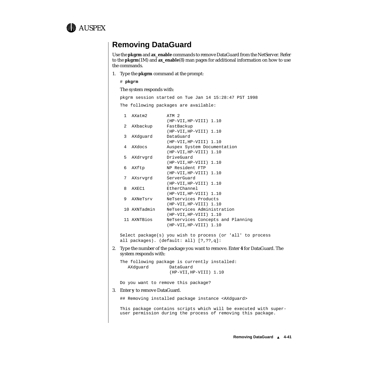<span id="page-40-0"></span>

## **Removing DataGuard**

Use the **pkgrm** and **ax\_enable** commands to remove DataGuard from the NetServer. Refer to the **pkgrm**(1M) and **ax\_enable**(8) man pages for additional information on how to use the commands.

1. Type the **pkgrm** command at the prompt:

```
# pkgrm
```
The system responds with:

pkgrm session started on Tue Jan 14 15:28:47 PST 1998 The following packages are available:

| 1           | AXatm2       | ATM <sub>2</sub>                  |
|-------------|--------------|-----------------------------------|
|             |              | (HP-VII, HP-VIII) 1.10            |
| $2^{\circ}$ | AXbackup     | FastBackup                        |
|             |              | (HP-VII, HP-VIII) 1.10            |
| 3           | AXdquard     | DataGuard                         |
|             |              | (HP-VII, HP-VIII) 1.10            |
| 4           | AXdocs       | Auspex System Documentation       |
|             |              | (HP-VII, HP-VIII) 1.10            |
| 5           | AXdrvgrd     | DriveGuard                        |
|             |              | (HP-VII, HP-VIII) 1.10            |
| 6           | AXftp        | NP Resident FTP                   |
|             |              | (HP-VII, HP-VIII) 1.10            |
| 7           | AXsrvqrd     | ServerGuard                       |
|             |              | (HP-VII, HP-VIII) 1.10            |
| 8           | AXEC1        | EtherChannel                      |
|             |              | (HP-VII, HP-VIII) 1.10            |
| 9           | AXNeTsrv     | NeTservices Products              |
|             |              | (HP-VII, HP-VIII) 1.10            |
|             | 10 AXNTadmin | NeTservices Administration        |
|             |              | (HP-VII, HP-VIII) 1.10            |
|             | 11 AXNTBios  | NeTservices Concepts and Planning |
|             |              | (HP-VII, HP-VIII) 1.10            |

Select package(s) you wish to process (or 'all' to process all packages). (default: all) [?,??,q]:

2. Type the number of the package you want to remove. Enter **4** for DataGuard. The system responds with:

The following package is currently installed: AXdguard DataGuard (HP-VII,HP-VIII) 1.10

Do you want to remove this package?

#### 3. Enter **y** to remove DataGuard.

## Removing installed package instance <AXdguard>

This package contains scripts which will be executed with superuser permission during the process of removing this package.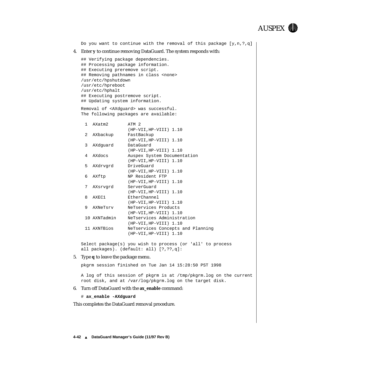

Select package(s) you wish to process (or 'all' to process all packages). (default: all) [?,??,q]:

#### 5. Type **q** to leave the package menu.

pkgrm session finished on Tue Jan 14 15:28:50 PST 1998

A log of this session of pkgrm is at /tmp/pkgrm.log on the current root disk, and at /var/log/pkgrm.log on the target disk.

#### 6. Turn off DataGuard with the **ax\_enable** command:

#### # **ax\_enable -AXdguard**

This completes the DataGuard removal procedure.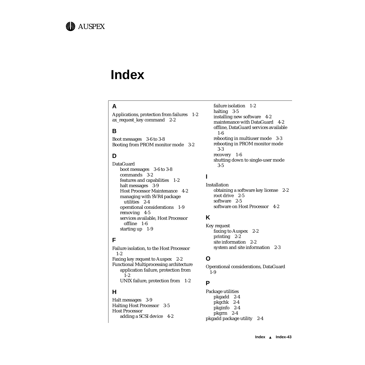

# **Index**

## **A**

Applications, protection from failures 1-2 ax\_request\_key command 2-2

#### **B**

Boot messages 3-6 to 3-8 Booting from PROM monitor mode 3-2

#### **D**

DataGuard boot messages 3-6 to 3-8 commands 3-2 features and capabilities 1-2 halt messages 3-9 Host Processor Maintenance 4-2 managing with SVR4 package utilities 2-4 operational considerations 1-9 removing 4-5 services available, Host Processor offline 1-6 starting up 1-9

#### **F**

Failure isolation, to the Host Processor 1-2 Faxing key request to Auspex 2-2 Functional Multiprocessing architecture application failure, protection from 1-2 UNIX failure, protection from 1-2

#### **H**

Halt messages 3-9 Halting Host Processor 3-5 Host Processor adding a SCSI device 4-2 failure isolation 1-2 halting 3-5 installing new software 4-2 maintenance with DataGuard 4-2 offline, DataGuard services available 1-6 rebooting in multiuser mode 3-3 rebooting in PROM monitor mode 3-3 recovery 1-6 shutting down to single-user mode 3-5

#### **I**

Installation obtaining a software key license 2-2 root drive 2-5 software 2-5 software on Host Processor 4-2

#### **K**

Key request faxing to Auspex 2-2 printing 2-2 site information 2-2 system and site information 2-3

#### **O**

Operational considerations, DataGuard 1-9

#### **P**

Package utilities pkgadd 2-4 pkgchk 2-4 pkginfo 2-4 pkgrm 2-4 pkgadd package utility 2-4